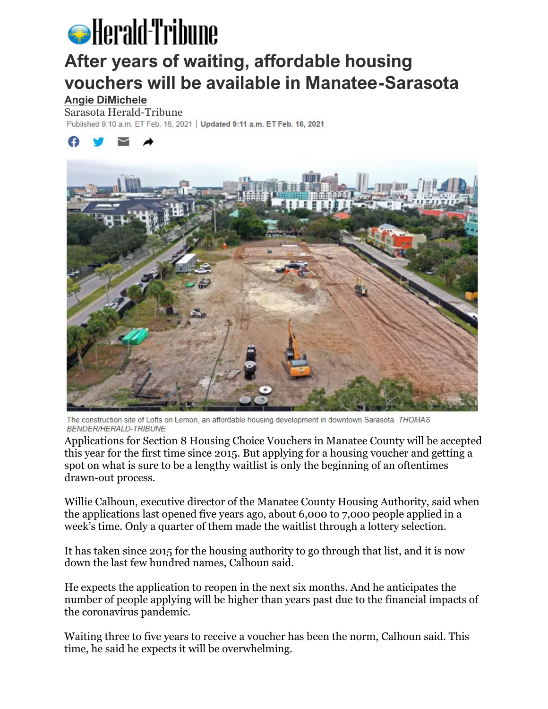# **S** Herald-Tribune

## **After years of waiting, affordable housing vouchers will be available in Manatee-Sarasota**

**[Angie DiMichele](https://www.heraldtribune.com/staff/5701985002/angie-dimichele/)**

Sarasota Herald-Tribune<br>Published 9:10 a.m. ET Feb. 16, 2021 | Updated 9:11 a.m. ET Feb. 16, 2021





The construction site of Lofts on Lemon, an affordable housing development in downtown Sarasota. THOMAS **BENDER/HERALD-TRIBUNE** 

Applications for Section 8 Housing Choice Vouchers in Manatee County will be accepted this year for the first time since 2015. But applying for a housing voucher and getting a spot on what is sure to be a lengthy waitlist is only the beginning of an oftentimes drawn-out process.

Willie Calhoun, executive director of the Manatee County Housing Authority, said when the applications last opened five years ago, about 6,000 to 7,000 people applied in a week's time. Only a quarter of them made the waitlist through a lottery selection.

It has taken since 2015 for the housing authority to go through that list, and it is now down the last few hundred names, Calhoun said.

He expects the application to reopen in the next six months. And he anticipates the number of people applying will be higher than years past due to the financial impacts of the coronavirus pandemic.

Waiting three to five years to receive a voucher has been the norm, Calhoun said. This time, he said he expects it will be overwhelming.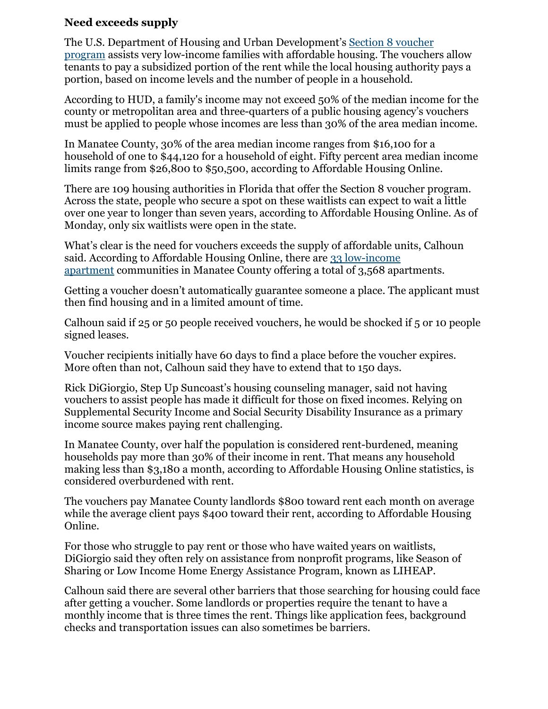### **Need exceeds supply**

The U.S. Department of Housing and Urban Development's [Section 8 voucher](https://www.hud.gov/topics/housing_choice_voucher_program_section_8)  [program](https://www.hud.gov/topics/housing_choice_voucher_program_section_8) assists very low-income families with affordable housing. The vouchers allow tenants to pay a subsidized portion of the rent while the local housing authority pays a portion, based on income levels and the number of people in a household.

According to HUD, a family's income may not exceed 50% of the median income for the county or metropolitan area and three-quarters of a public housing agency's vouchers must be applied to people whose incomes are less than 30% of the area median income.

In Manatee County, 30% of the area median income ranges from \$16,100 for a household of one to \$44,120 for a household of eight. Fifty percent area median income limits range from \$26,800 to \$50,500, according to Affordable Housing Online.

There are 109 housing authorities in Florida that offer the Section 8 voucher program. Across the state, people who secure a spot on these waitlists can expect to wait a little over one year to longer than seven years, according to Affordable Housing Online. As of Monday, only six waitlists were open in the state.

What's clear is the need for vouchers exceeds the supply of affordable units, Calhoun said. According to Affordable Housing Online, there are [33 low-income](https://affordablehousingonline.com/housing-search/Florida/Manatee-County)  [apartment](https://affordablehousingonline.com/housing-search/Florida/Manatee-County) communities in Manatee County offering a total of 3,568 apartments.

Getting a voucher doesn't automatically guarantee someone a place. The applicant must then find housing and in a limited amount of time.

Calhoun said if 25 or 50 people received vouchers, he would be shocked if 5 or 10 people signed leases.

Voucher recipients initially have 60 days to find a place before the voucher expires. More often than not, Calhoun said they have to extend that to 150 days.

Rick DiGiorgio, Step Up Suncoast's housing counseling manager, said not having vouchers to assist people has made it difficult for those on fixed incomes. Relying on Supplemental Security Income and Social Security Disability Insurance as a primary income source makes paying rent challenging.

In Manatee County, over half the population is considered rent-burdened, meaning households pay more than 30% of their income in rent. That means any household making less than \$3,180 a month, according to Affordable Housing Online statistics, is considered overburdened with rent.

The vouchers pay Manatee County landlords \$800 toward rent each month on average while the average client pays \$400 toward their rent, according to Affordable Housing Online.

For those who struggle to pay rent or those who have waited years on waitlists, DiGiorgio said they often rely on assistance from nonprofit programs, like Season of Sharing or Low Income Home Energy Assistance Program, known as LIHEAP.

Calhoun said there are several other barriers that those searching for housing could face after getting a voucher. Some landlords or properties require the tenant to have a monthly income that is three times the rent. Things like application fees, background checks and transportation issues can also sometimes be barriers.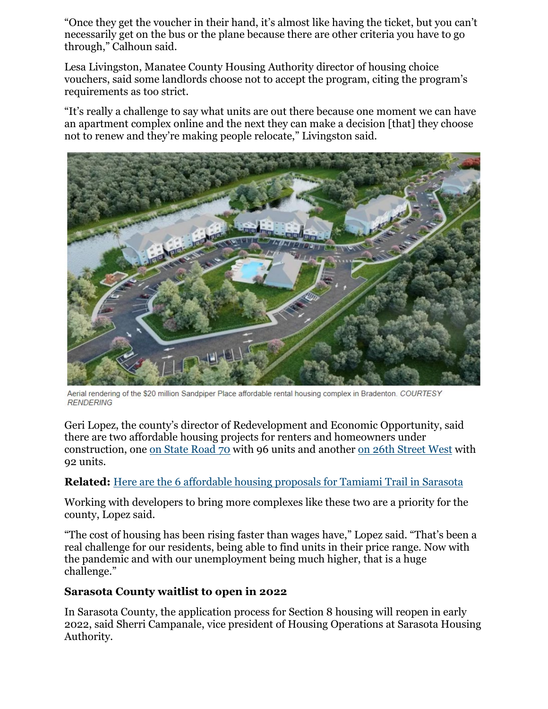"Once they get the voucher in their hand, it's almost like having the ticket, but you can't necessarily get on the bus or the plane because there are other criteria you have to go through," Calhoun said.

Lesa Livingston, Manatee County Housing Authority director of housing choice vouchers, said some landlords choose not to accept the program, citing the program's requirements as too strict.

"It's really a challenge to say what units are out there because one moment we can have an apartment complex online and the next they can make a decision [that] they choose not to renew and they're making people relocate," Livingston said.



Aerial rendering of the \$20 million Sandpiper Place affordable rental housing complex in Bradenton. COURTESY **RENDERING** 

Geri Lopez, the county's director of Redevelopment and Economic Opportunity, said there are two affordable housing projects for renters and homeowners under construction, one [on State Road 70](https://www.heraldtribune.com/news/20190502/commissioners-approve-affordable-apartments-and-houses) with 96 units and another [on 26th Street West](https://www.heraldtribune.com/picture-gallery/business/2020/06/08/developer-starts-affordable-housing-complex-in-bradenton/112583010/) with 92 units.

#### **Related:** [Here are the 6 affordable housing proposals for Tamiami Trail in Sarasota](https://www.heraldtribune.com/story/news/local/sarasota/2021/02/08/here-6-affordable-housing-proposals-tamiami-trial-sarasota-county/4433820001/)

Working with developers to bring more complexes like these two are a priority for the county, Lopez said.

"The cost of housing has been rising faster than wages have," Lopez said. "That's been a real challenge for our residents, being able to find units in their price range. Now with the pandemic and with our unemployment being much higher, that is a huge challenge."

#### **Sarasota County waitlist to open in 2022**

In Sarasota County, the application process for Section 8 housing will reopen in early 2022, said Sherri Campanale, vice president of Housing Operations at Sarasota Housing Authority.